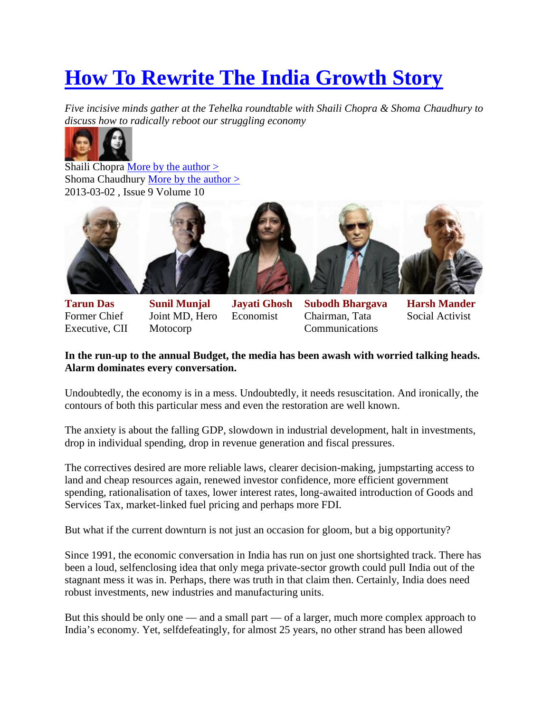# **How To Rewrite The India Growth Story**

*Five incisive minds gather at the Tehelka roundtable with Shaili Chopra & Shoma Chaudhury to discuss how to radically reboot our struggling economy*



Shaili Chopra <u>More by the author  $\geq$ </u> Shoma Chaudhury More by the author > 2013-03-02 , Issue 9 Volume 10



**Tarun Das** Former Chief Executive, CII **Sunil Munjal** Joint MD, Hero Motocorp

**Jayati Ghosh** Economist

**Subodh Bhargava** Chairman, Tata **Communications** 

**Harsh Mander** Social Activist

#### **In the run-up to the annual Budget, the media has been awash with worried talking heads. Alarm dominates every conversation.**

Undoubtedly, the economy is in a mess. Undoubtedly, it needs resuscitation. And ironically, the contours of both this particular mess and even the restoration are well known.

The anxiety is about the falling GDP, slowdown in industrial development, halt in investments, drop in individual spending, drop in revenue generation and fiscal pressures.

The correctives desired are more reliable laws, clearer decision-making, jumpstarting access to land and cheap resources again, renewed investor confidence, more efficient government spending, rationalisation of taxes, lower interest rates, long-awaited introduction of Goods and Services Tax, market-linked fuel pricing and perhaps more FDI.

But what if the current downturn is not just an occasion for gloom, but a big opportunity?

Since 1991, the economic conversation in India has run on just one shortsighted track. There has been a loud, selfenclosing idea that only mega private-sector growth could pull India out of the stagnant mess it was in. Perhaps, there was truth in that claim then. Certainly, India does need robust investments, new industries and manufacturing units.

But this should be only one — and a small part — of a larger, much more complex approach to India's economy. Yet, selfdefeatingly, for almost 25 years, no other strand has been allowed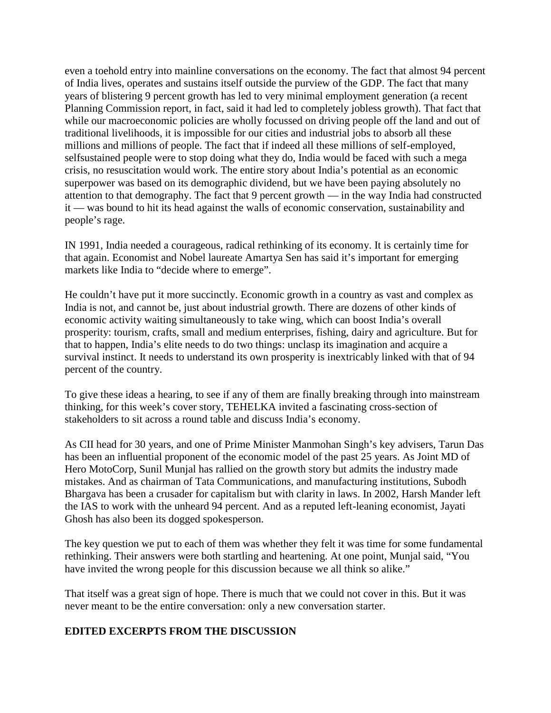even a toehold entry into mainline conversations on the economy. The fact that almost 94 percent of India lives, operates and sustains itself outside the purview of the GDP. The fact that many years of blistering 9 percent growth has led to very minimal employment generation (a recent Planning Commission report, in fact, said it had led to completely jobless growth). That fact that while our macroeconomic policies are wholly focussed on driving people off the land and out of traditional livelihoods, it is impossible for our cities and industrial jobs to absorb all these millions and millions of people. The fact that if indeed all these millions of self-employed, selfsustained people were to stop doing what they do, India would be faced with such a mega crisis, no resuscitation would work. The entire story about India's potential as an economic superpower was based on its demographic dividend, but we have been paying absolutely no attention to that demography. The fact that 9 percent growth — in the way India had constructed it — was bound to hit its head against the walls of economic conservation, sustainability and people's rage.

IN 1991, India needed a courageous, radical rethinking of its economy. It is certainly time for that again. Economist and Nobel laureate Amartya Sen has said it's important for emerging markets like India to "decide where to emerge".

He couldn't have put it more succinctly. Economic growth in a country as vast and complex as India is not, and cannot be, just about industrial growth. There are dozens of other kinds of economic activity waiting simultaneously to take wing, which can boost India's overall prosperity: tourism, crafts, small and medium enterprises, fishing, dairy and agriculture. But for that to happen, India's elite needs to do two things: unclasp its imagination and acquire a survival instinct. It needs to understand its own prosperity is inextricably linked with that of 94 percent of the country.

To give these ideas a hearing, to see if any of them are finally breaking through into mainstream thinking, for this week's cover story, TEHELKA invited a fascinating cross-section of stakeholders to sit across a round table and discuss India's economy.

As CII head for 30 years, and one of Prime Minister Manmohan Singh's key advisers, Tarun Das has been an influential proponent of the economic model of the past 25 years. As Joint MD of Hero MotoCorp, Sunil Munjal has rallied on the growth story but admits the industry made mistakes. And as chairman of Tata Communications, and manufacturing institutions, Subodh Bhargava has been a crusader for capitalism but with clarity in laws. In 2002, Harsh Mander left the IAS to work with the unheard 94 percent. And as a reputed left-leaning economist, Jayati Ghosh has also been its dogged spokesperson.

The key question we put to each of them was whether they felt it was time for some fundamental rethinking. Their answers were both startling and heartening. At one point, Munjal said, "You have invited the wrong people for this discussion because we all think so alike."

That itself was a great sign of hope. There is much that we could not cover in this. But it was never meant to be the entire conversation: only a new conversation starter.

## **EDITED EXCERPTS FROM THE DISCUSSION**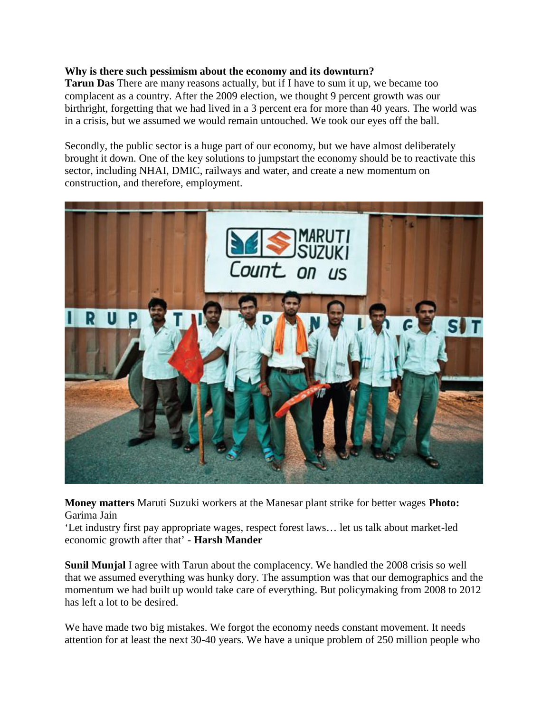#### **Why is there such pessimism about the economy and its downturn?**

**Tarun Das** There are many reasons actually, but if I have to sum it up, we became too complacent as a country. After the 2009 election, we thought 9 percent growth was our birthright, forgetting that we had lived in a 3 percent era for more than 40 years. The world was in a crisis, but we assumed we would remain untouched. We took our eyes off the ball.

Secondly, the public sector is a huge part of our economy, but we have almost deliberately brought it down. One of the key solutions to jumpstart the economy should be to reactivate this sector, including NHAI, DMIC, railways and water, and create a new momentum on construction, and therefore, employment.



**Money matters** Maruti Suzuki workers at the Manesar plant strike for better wages **Photo:** Garima Jain

'Let industry first pay appropriate wages, respect forest laws… let us talk about market-led economic growth after that' - **Harsh Mander**

**Sunil Munjal** I agree with Tarun about the complacency. We handled the 2008 crisis so well that we assumed everything was hunky dory. The assumption was that our demographics and the momentum we had built up would take care of everything. But policymaking from 2008 to 2012 has left a lot to be desired.

We have made two big mistakes. We forgot the economy needs constant movement. It needs attention for at least the next 30-40 years. We have a unique problem of 250 million people who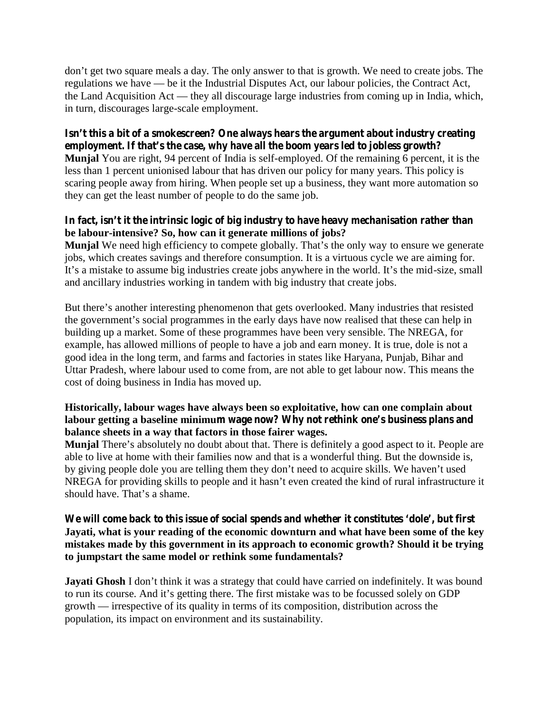don't get two square meals a day. The only answer to that is growth. We need to create jobs. The regulations we have — be it the Industrial Disputes Act, our labour policies, the Contract Act, the Land Acquisition Act — they all discourage large industries from coming up in India, which, in turn, discourages large-scale employment.

## **Isn't this a bit of a smokescreen? One always hears the argument about industry creating employment. If that's the case, why have all the boom years led to jobless growth?**

**Munjal** You are right, 94 percent of India is self-employed. Of the remaining 6 percent, it is the less than 1 percent unionised labour that has driven our policy for many years. This policy is scaring people away from hiring. When people set up a business, they want more automation so they can get the least number of people to do the same job.

## **In fact, isn't it the intrinsic logic of big industry to have heavy mechanisation rather than be labour-intensive? So, how can it generate millions of jobs?**

**Munjal** We need high efficiency to compete globally. That's the only way to ensure we generate jobs, which creates savings and therefore consumption. It is a virtuous cycle we are aiming for. It's a mistake to assume big industries create jobs anywhere in the world. It's the mid-size, small and ancillary industries working in tandem with big industry that create jobs.

But there's another interesting phenomenon that gets overlooked. Many industries that resisted the government's social programmes in the early days have now realised that these can help in building up a market. Some of these programmes have been very sensible. The NREGA, for example, has allowed millions of people to have a job and earn money. It is true, dole is not a good idea in the long term, and farms and factories in states like Haryana, Punjab, Bihar and Uttar Pradesh, where labour used to come from, are not able to get labour now. This means the cost of doing business in India has moved up.

## **Historically, labour wages have always been so exploitative, how can one complain about labour getting a baseline minimum wage now? Why not rethink one's business plans and balance sheets in a way that factors in those fairer wages.**

**Munjal** There's absolutely no doubt about that. There is definitely a good aspect to it. People are able to live at home with their families now and that is a wonderful thing. But the downside is, by giving people dole you are telling them they don't need to acquire skills. We haven't used NREGA for providing skills to people and it hasn't even created the kind of rural infrastructure it should have. That's a shame.

#### **We will come back to this issue of social spends and whether it constitutes 'dole', but first Jayati, what is your reading of the economic downturn and what have been some of the key mistakes made by this government in its approach to economic growth? Should it be trying to jumpstart the same model or rethink some fundamentals?**

**Jayati Ghosh** I don't think it was a strategy that could have carried on indefinitely. It was bound to run its course. And it's getting there. The first mistake was to be focussed solely on GDP growth — irrespective of its quality in terms of its composition, distribution across the population, its impact on environment and its sustainability.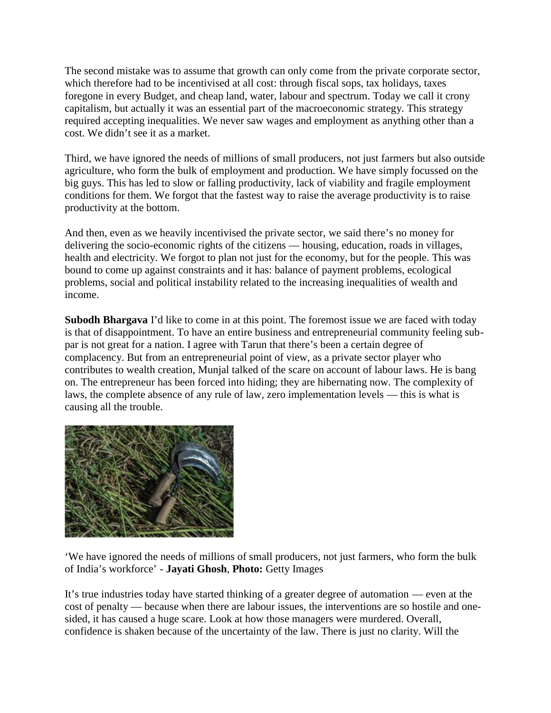The second mistake was to assume that growth can only come from the private corporate sector, which therefore had to be incentivised at all cost: through fiscal sops, tax holidays, taxes foregone in every Budget, and cheap land, water, labour and spectrum. Today we call it crony capitalism, but actually it was an essential part of the macroeconomic strategy. This strategy required accepting inequalities. We never saw wages and employment as anything other than a cost. We didn't see it as a market.

Third, we have ignored the needs of millions of small producers, not just farmers but also outside agriculture, who form the bulk of employment and production. We have simply focussed on the big guys. This has led to slow or falling productivity, lack of viability and fragile employment conditions for them. We forgot that the fastest way to raise the average productivity is to raise productivity at the bottom.

And then, even as we heavily incentivised the private sector, we said there's no money for delivering the socio-economic rights of the citizens — housing, education, roads in villages, health and electricity. We forgot to plan not just for the economy, but for the people. This was bound to come up against constraints and it has: balance of payment problems, ecological problems, social and political instability related to the increasing inequalities of wealth and income.

**Subodh Bhargava** I'd like to come in at this point. The foremost issue we are faced with today is that of disappointment. To have an entire business and entrepreneurial community feeling sub par is not great for a nation. I agree with Tarun that there's been a certain degree of complacency. But from an entrepreneurial point of view, as a private sector player who contributes to wealth creation, Munjal talked of the scare on account of labour laws. He is bang on. The entrepreneur has been forced into hiding; they are hibernating now. The complexity of laws, the complete absence of any rule of law, zero implementation levels — this is what is causing all the trouble.



'We have ignored the needs of millions of small producers, not just farmers, who form the bulk of India's workforce' - **Jayati Ghosh**, **Photo:** Getty Images

It's true industries today have started thinking of a greater degree of automation — even at the cost of penalty — because when there are labour issues, the interventions are so hostile and one sided, it has caused a huge scare. Look at how those managers were murdered. Overall, confidence is shaken because of the uncertainty of the law. There is just no clarity. Will the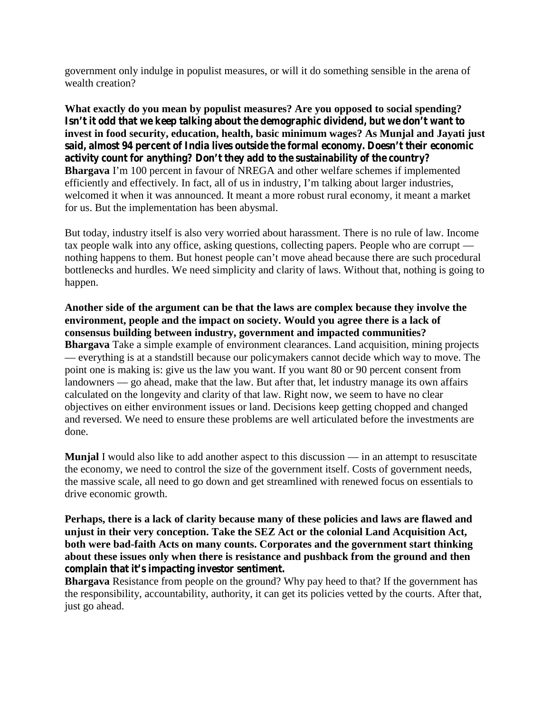government only indulge in populist measures, or will it do something sensible in the arena of wealth creation?

**What exactly do you mean by populist measures? Are you opposed to social spending? Isn't it odd that we keep talking about the demographic dividend, but we don't want to invest in food security, education, health, basic minimum wages? As Munjal and Jayati just said, almost 94 percent of India lives outside the formal economy. Doesn't their economic activity count for anything? Don't they add to the sustainability of the country? Bhargava** I'm 100 percent in favour of NREGA and other welfare schemes if implemented efficiently and effectively. In fact, all of us in industry, I'm talking about larger industries, welcomed it when it was announced. It meant a more robust rural economy, it meant a market for us. But the implementation has been abysmal.

But today, industry itself is also very worried about harassment. There is no rule of law. Income tax people walk into any office, asking questions, collecting papers. People who are corrupt nothing happens to them. But honest people can't move ahead because there are such procedural bottlenecks and hurdles. We need simplicity and clarity of laws. Without that, nothing is going to happen.

**Another side of the argument can be that the laws are complex because they involve the environment, people and the impact on society. Would you agree there is a lack of consensus building between industry, government and impacted communities? Bhargava** Take a simple example of environment clearances. Land acquisition, mining projects — everything is at a standstill because our policymakers cannot decide which way to move. The point one is making is: give us the law you want. If you want 80 or 90 percent consent from landowners — go ahead, make that the law. But after that, let industry manage its own affairs calculated on the longevity and clarity of that law. Right now, we seem to have no clear objectives on either environment issues or land. Decisions keep getting chopped and changed and reversed. We need to ensure these problems are well articulated before the investments are done.

**Munjal** I would also like to add another aspect to this discussion — in an attempt to resuscitate the economy, we need to control the size of the government itself. Costs of government needs, the massive scale, all need to go down and get streamlined with renewed focus on essentials to drive economic growth.

**Perhaps, there is a lack of clarity because many of these policies and laws are flawed and unjust in their very conception. Take the SEZ Act or the colonial Land Acquisition Act, both were bad-faith Acts on many counts. Corporates and the government start thinking about these issues only when there is resistance and pushback from the ground and then complain that it's impacting investor sentiment.**

**Bhargava** Resistance from people on the ground? Why pay heed to that? If the government has the responsibility, accountability, authority, it can get its policies vetted by the courts. After that, just go ahead.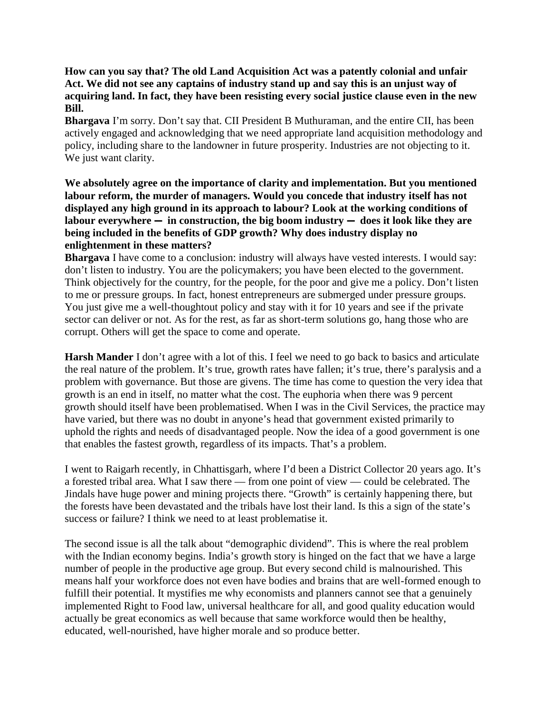**How can you say that? The old Land Acquisition Act was a patently colonial and unfair Act. We did not see any captains of industry stand up and say this is an unjust way of acquiring land. In fact, they have been resisting every social justice clause even in the new Bill.**

**Bhargava** I'm sorry. Don't say that. CII President B Muthuraman, and the entire CII, has been actively engaged and acknowledging that we need appropriate land acquisition methodology and policy, including share to the landowner in future prosperity. Industries are not objecting to it. We just want clarity.

**We absolutely agree on the importance of clarity and implementation. But you mentioned labour reform, the murder of managers. Would you concede that industry itself has not displayed any high ground in its approach to labour? Look at the working conditions of labour everywhere — in construction, the big boom industry — does it look like they are being included in the benefits of GDP growth? Why does industry display no enlightenment in these matters?**

**Bhargava** I have come to a conclusion: industry will always have vested interests. I would say: don't listen to industry. You are the policymakers; you have been elected to the government. Think objectively for the country, for the people, for the poor and give me a policy. Don't listen to me or pressure groups. In fact, honest entrepreneurs are submerged under pressure groups. You just give me a well-thoughtout policy and stay with it for 10 years and see if the private sector can deliver or not. As for the rest, as far as short-term solutions go, hang those who are corrupt. Others will get the space to come and operate.

**Harsh Mander** I don't agree with a lot of this. I feel we need to go back to basics and articulate the real nature of the problem. It's true, growth rates have fallen; it's true, there's paralysis and a problem with governance. But those are givens. The time has come to question the very idea that growth is an end in itself, no matter what the cost. The euphoria when there was 9 percent growth should itself have been problematised. When I was in the Civil Services, the practice may have varied, but there was no doubt in anyone's head that government existed primarily to uphold the rights and needs of disadvantaged people. Now the idea of a good government is one that enables the fastest growth, regardless of its impacts. That's a problem.

I went to Raigarh recently, in Chhattisgarh, where I'd been a District Collector 20 years ago. It's a forested tribal area. What I saw there — from one point of view — could be celebrated. The Jindals have huge power and mining projects there. "Growth" is certainly happening there, but the forests have been devastated and the tribals have lost their land. Is this a sign of the state's success or failure? I think we need to at least problematise it.

The second issue is all the talk about "demographic dividend". This is where the real problem with the Indian economy begins. India's growth story is hinged on the fact that we have a large number of people in the productive age group. But every second child is malnourished. This means half your workforce does not even have bodies and brains that are well-formed enough to fulfill their potential. It mystifies me why economists and planners cannot see that a genuinely implemented Right to Food law, universal healthcare for all, and good quality education would actually be great economics as well because that same workforce would then be healthy, educated, well-nourished, have higher morale and so produce better.